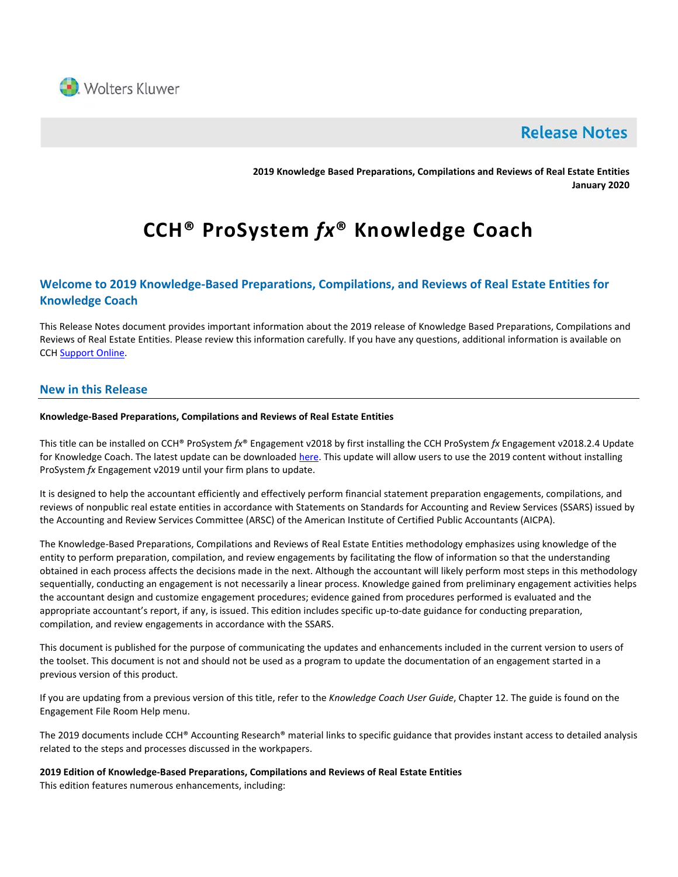

# **Release Notes**

**2019 Knowledge Based Preparations, Compilations and Reviews of Real Estate Entities January 2020**

# **CCH® ProSystem** *fx***® Knowledge Coach**

# **Welcome to 2019 Knowledge-Based Preparations, Compilations, and Reviews of Real Estate Entities for Knowledge Coach**

This Release Notes document provides important information about the 2019 release of Knowledge Based Preparations, Compilations and Reviews of Real Estate Entities. Please review this information carefully. If you have any questions, additional information is available on CCH [Support Online.](http://support.cch.com/productsupport/)

# **New in this Release**

#### **Knowledge-Based Preparations, Compilations and Reviews of Real Estate Entities**

This title can be installed on CCH® ProSystem *fx*® Engagement v2018 by first installing the CCH ProSystem *fx* Engagement v2018.2.4 Update for Knowledge Coach. The latest update can be downloaded [here.](https://support.cch.com/updates/Engagement/release2018/release2018.aspx) This update will allow users to use the 2019 content without installing ProSystem *fx* Engagement v2019 until your firm plans to update.

It is designed to help the accountant efficiently and effectively perform financial statement preparation engagements, compilations, and reviews of nonpublic real estate entities in accordance with Statements on Standards for Accounting and Review Services (SSARS) issued by the Accounting and Review Services Committee (ARSC) of the American Institute of Certified Public Accountants (AICPA).

The Knowledge-Based Preparations, Compilations and Reviews of Real Estate Entities methodology emphasizes using knowledge of the entity to perform preparation, compilation, and review engagements by facilitating the flow of information so that the understanding obtained in each process affects the decisions made in the next. Although the accountant will likely perform most steps in this methodology sequentially, conducting an engagement is not necessarily a linear process. Knowledge gained from preliminary engagement activities helps the accountant design and customize engagement procedures; evidence gained from procedures performed is evaluated and the appropriate accountant's report, if any, is issued. This edition includes specific up-to-date guidance for conducting preparation, compilation, and review engagements in accordance with the SSARS.

This document is published for the purpose of communicating the updates and enhancements included in the current version to users of the toolset. This document is not and should not be used as a program to update the documentation of an engagement started in a previous version of this product.

If you are updating from a previous version of this title, refer to the *Knowledge Coach User Guide*, Chapter 12. The guide is found on the Engagement File Room Help menu.

The 2019 documents include CCH® Accounting Research® material links to specific guidance that provides instant access to detailed analysis related to the steps and processes discussed in the workpapers.

**2019 Edition of Knowledge-Based Preparations, Compilations and Reviews of Real Estate Entities** This edition features numerous enhancements, including: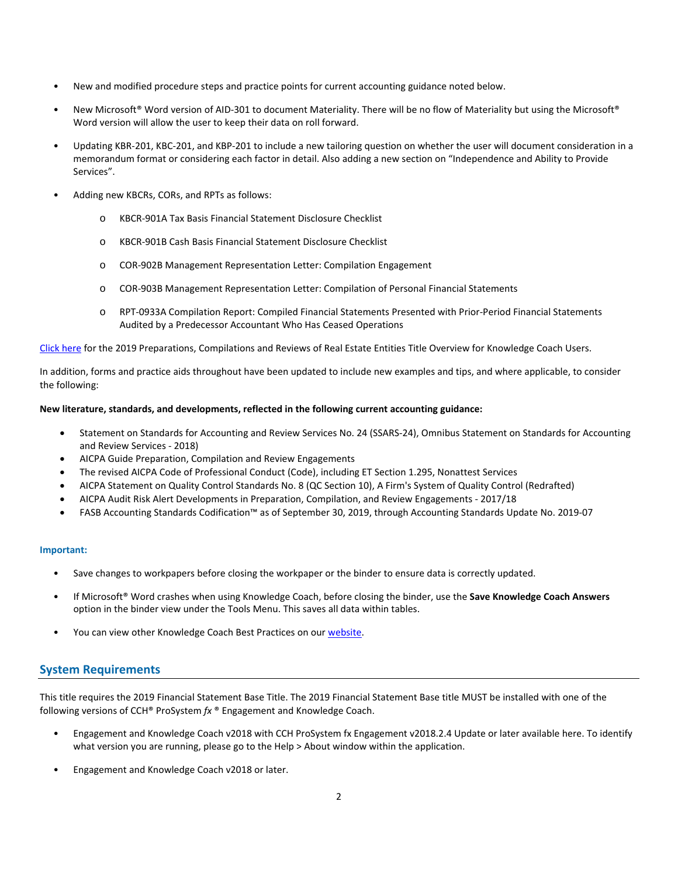- New and modified procedure steps and practice points for current accounting guidance noted below.
- New Microsoft® Word version of AID-301 to document Materiality. There will be no flow of Materiality but using the Microsoft® Word version will allow the user to keep their data on roll forward.
- Updating KBR-201, KBC-201, and KBP-201 to include a new tailoring question on whether the user will document consideration in a memorandum format or considering each factor in detail. Also adding a new section on "Independence and Ability to Provide Services".
- Adding new KBCRs, CORs, and RPTs as follows:
	- o KBCR-901A Tax Basis Financial Statement Disclosure Checklist
	- o KBCR-901B Cash Basis Financial Statement Disclosure Checklist
	- o COR-902B Management Representation Letter: Compilation Engagement
	- o COR-903B Management Representation Letter: Compilation of Personal Financial Statements
	- o RPT-0933A Compilation Report: Compiled Financial Statements Presented with Prior-Period Financial Statements Audited by a Predecessor Accountant Who Has Ceased Operations

[Click here](http://support.cch.com/updates/KnowledgeCoach/pdf/guides_tab/2019%20Real%20Estate%20Entities%20PCR%20Title%20Overview%20for%20Knowledge%20Coach%20Users.pdf) for the 2019 Preparations, Compilations and Reviews of Real Estate Entities Title Overview for Knowledge Coach Users.

In addition, forms and practice aids throughout have been updated to include new examples and tips, and where applicable, to consider the following:

#### **New literature, standards, and developments, reflected in the following current accounting guidance:**

- Statement on Standards for Accounting and Review Services No. 24 (SSARS-24), Omnibus Statement on Standards for Accounting and Review Services - 2018)
- AICPA Guide Preparation, Compilation and Review Engagements
- The revised AICPA Code of Professional Conduct (Code), including ET Section 1.295, Nonattest Services
- AICPA Statement on Quality Control Standards No. 8 (QC Section 10), A Firm's System of Quality Control (Redrafted)
- AICPA Audit Risk Alert Developments in Preparation, Compilation, and Review Engagements 2017/18
- FASB Accounting Standards Codification™ as of September 30, 2019, through Accounting Standards Update No. 2019-07

#### **Important:**

- Save changes to workpapers before closing the workpaper or the binder to ensure data is correctly updated.
- If Microsoft® Word crashes when using Knowledge Coach, before closing the binder, use the **Save Knowledge Coach Answers** option in the binder view under the Tools Menu. This saves all data within tables.
- You can view other Knowledge Coach Best Practices on ou[r website.](https://support.cch.com/kb/solution/000034942/sw34947)

# **System Requirements**

This title requires the 2019 Financial Statement Base Title. The 2019 Financial Statement Base title MUST be installed with one of the following versions of CCH® ProSystem *fx* ® Engagement and Knowledge Coach.

- Engagement and Knowledge Coach v2018 with CCH ProSystem fx Engagement v2018.2.4 Update or later available [here.](https://support.cch.com/updates/Engagement/release2018/release2018.aspx) To identify what version you are running, please go to the Help > About window within the application.
- Engagement and Knowledge Coach v2018 or later.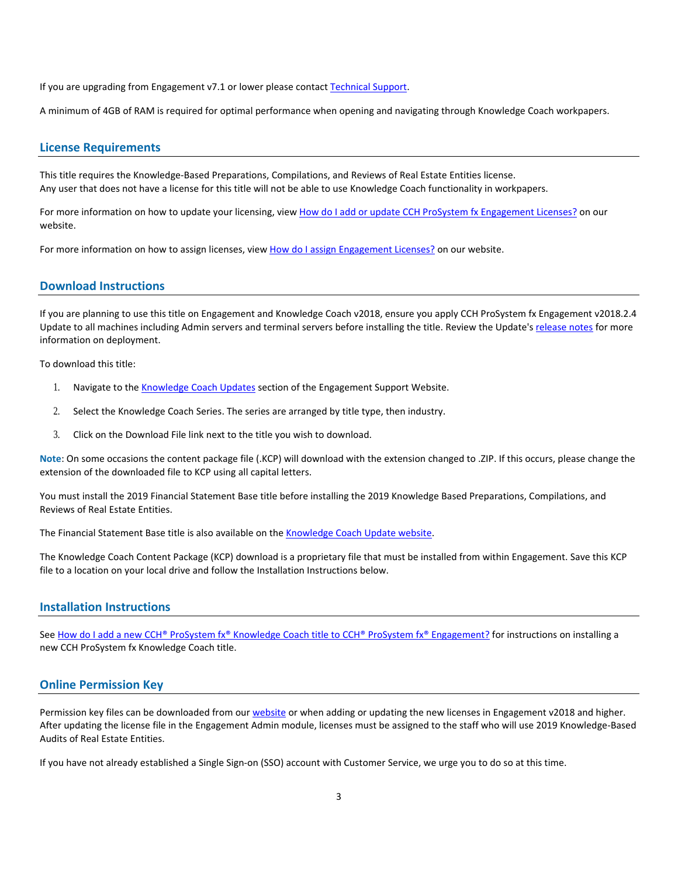If you are upgrading from Engagement v7.1 or lower please contac[t Technical Support.](https://support.cch.com/contact)

A minimum of 4GB of RAM is required for optimal performance when opening and navigating through Knowledge Coach workpapers.

#### **License Requirements**

This title requires the Knowledge-Based Preparations, Compilations, and Reviews of Real Estate Entities license. Any user that does not have a license for this title will not be able to use Knowledge Coach functionality in workpapers.

For more information on how to update your licensing, vie[w How do I add or update CCH ProSystem fx Engagement Licenses?](https://support.cch.com/kb/solution.aspx/sw3937) on our website.

For more information on how to assign licenses, view [How do I assign Engagement Licenses?](https://support.cch.com/kb/solution.aspx/sw3943) on our website.

# **Download Instructions**

If you are planning to use this title on Engagement and Knowledge Coach v2018, ensure you apply CCH ProSystem fx Engagement v2018.2.4 Update to all machines including Admin servers and terminal servers before installing the title. Review the Update's [release notes](https://d2iceilwdglxpz.cloudfront.net/release_notes/CCH%20ProSystem%20fx%20Engagement%202018.2.4%20Release%20Notes.pdf) for more information on deployment.

To download this title:

- 1. Navigate to the [Knowledge Coach Updates](http://support.cch.com/updates/KnowledgeCoach) section of the Engagement Support Website.
- 2. Select the Knowledge Coach Series. The series are arranged by title type, then industry.
- 3. Click on the Download File link next to the title you wish to download.

**Note**: On some occasions the content package file (.KCP) will download with the extension changed to .ZIP. If this occurs, please change the extension of the downloaded file to KCP using all capital letters.

You must install the 2019 Financial Statement Base title before installing the 2019 Knowledge Based Preparations, Compilations, and Reviews of Real Estate Entities.

The Financial Statement Base title is also available on th[e Knowledge Coach Update website.](http://support.cch.com/updates/KnowledgeCoach)

The Knowledge Coach Content Package (KCP) download is a proprietary file that must be installed from within Engagement. Save this KCP file to a location on your local drive and follow the Installation Instructions below.

#### **Installation Instructions**

See [How do I add a new CCH® ProSystem fx® Knowledge Coach title to CCH® ProSystem fx® Engagement?](https://support.cch.com/kb/solution/000033707/sw30271) for instructions on installing a new CCH ProSystem fx Knowledge Coach title.

### **Online Permission Key**

Permission key files can be downloaded from our [website](https://prosystemfxsupport.tax.cchgroup.com/permkey/download.aspx) or when adding or updating the new licenses in Engagement v2018 and higher. After updating the license file in the Engagement Admin module, licenses must be assigned to the staff who will use 2019 Knowledge-Based Audits of Real Estate Entities.

If you have not already established a Single Sign-on (SSO) account with Customer Service, we urge you to do so at this time.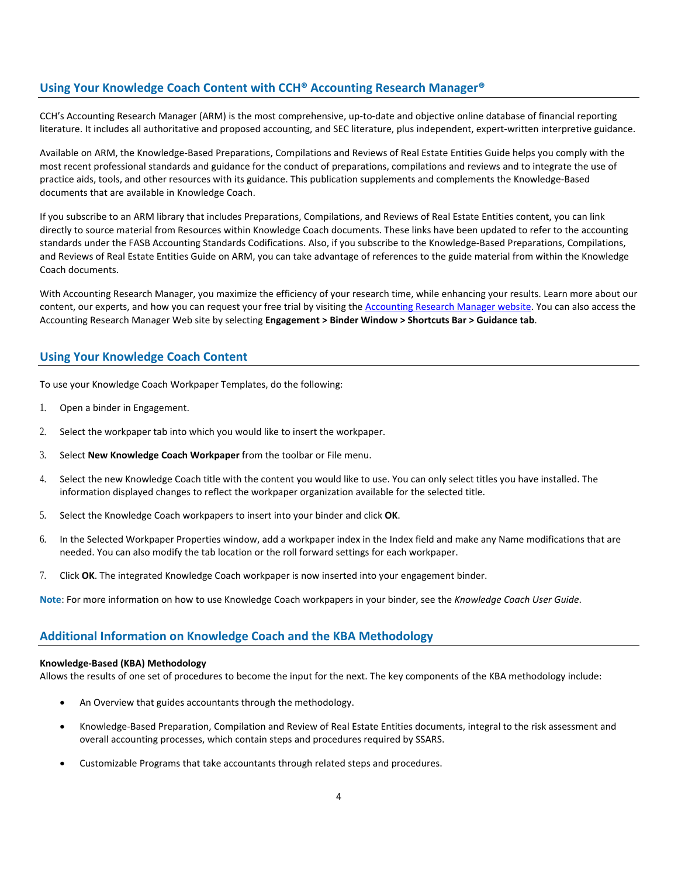# **Using Your Knowledge Coach Content with CCH® Accounting Research Manager®**

CCH's Accounting Research Manager (ARM) is the most comprehensive, up-to-date and objective online database of financial reporting literature. It includes all authoritative and proposed accounting, and SEC literature, plus independent, expert-written interpretive guidance.

Available on ARM, the Knowledge-Based Preparations, Compilations and Reviews of Real Estate Entities Guide helps you comply with the most recent professional standards and guidance for the conduct of preparations, compilations and reviews and to integrate the use of practice aids, tools, and other resources with its guidance. This publication supplements and complements the Knowledge-Based documents that are available in Knowledge Coach.

If you subscribe to an ARM library that includes Preparations, Compilations, and Reviews of Real Estate Entities content, you can link directly to source material from Resources within Knowledge Coach documents. These links have been updated to refer to the accounting standards under the FASB Accounting Standards Codifications. Also, if you subscribe to the Knowledge-Based Preparations, Compilations, and Reviews of Real Estate Entities Guide on ARM, you can take advantage of references to the guide material from within the Knowledge Coach documents.

With Accounting Research Manager, you maximize the efficiency of your research time, while enhancing your results. Learn more about our content, our experts, and how you can request your free trial by visiting the [Accounting Research Manager website.](http://www.accountingresearchmanager.com/) You can also access the Accounting Research Manager Web site by selecting **Engagement > Binder Window > Shortcuts Bar > Guidance tab**.

# **Using Your Knowledge Coach Content**

To use your Knowledge Coach Workpaper Templates, do the following:

- 1. Open a binder in Engagement.
- 2. Select the workpaper tab into which you would like to insert the workpaper.
- 3. Select **New Knowledge Coach Workpaper** from the toolbar or File menu.
- 4. Select the new Knowledge Coach title with the content you would like to use. You can only select titles you have installed. The information displayed changes to reflect the workpaper organization available for the selected title.
- 5. Select the Knowledge Coach workpapers to insert into your binder and click **OK**.
- 6. In the Selected Workpaper Properties window, add a workpaper index in the Index field and make any Name modifications that are needed. You can also modify the tab location or the roll forward settings for each workpaper.
- 7. Click **OK**. The integrated Knowledge Coach workpaper is now inserted into your engagement binder.

**Note**: For more information on how to use Knowledge Coach workpapers in your binder, see the *Knowledge Coach User Guide*.

# **Additional Information on Knowledge Coach and the KBA Methodology**

#### **Knowledge-Based (KBA) Methodology**

Allows the results of one set of procedures to become the input for the next. The key components of the KBA methodology include:

- An Overview that guides accountants through the methodology.
- Knowledge-Based Preparation, Compilation and Review of Real Estate Entities documents, integral to the risk assessment and overall accounting processes, which contain steps and procedures required by SSARS.
- Customizable Programs that take accountants through related steps and procedures.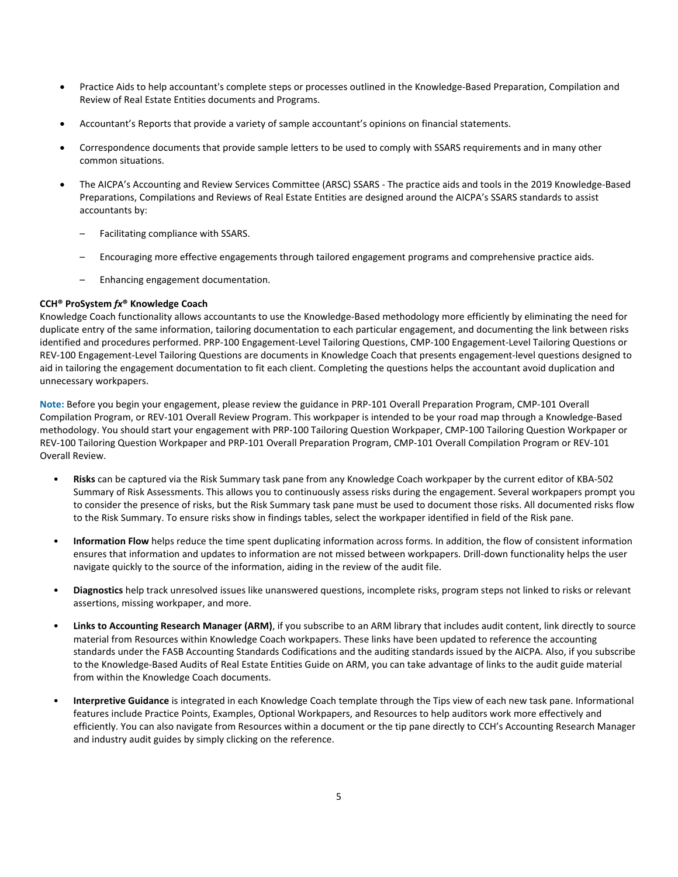- Practice Aids to help accountant's complete steps or processes outlined in the Knowledge-Based Preparation, Compilation and Review of Real Estate Entities documents and Programs.
- Accountant's Reports that provide a variety of sample accountant's opinions on financial statements.
- Correspondence documents that provide sample letters to be used to comply with SSARS requirements and in many other common situations.
- The AICPA's Accounting and Review Services Committee (ARSC) SSARS The practice aids and tools in the 2019 Knowledge-Based Preparations, Compilations and Reviews of Real Estate Entities are designed around the AICPA's SSARS standards to assist accountants by:
	- Facilitating compliance with SSARS.
	- Encouraging more effective engagements through tailored engagement programs and comprehensive practice aids.
	- Enhancing engagement documentation.

#### **CCH® ProSystem** *fx***® Knowledge Coach**

Knowledge Coach functionality allows accountants to use the Knowledge-Based methodology more efficiently by eliminating the need for duplicate entry of the same information, tailoring documentation to each particular engagement, and documenting the link between risks identified and procedures performed. PRP-100 Engagement-Level Tailoring Questions, CMP-100 Engagement-Level Tailoring Questions or REV-100 Engagement-Level Tailoring Questions are documents in Knowledge Coach that presents engagement-level questions designed to aid in tailoring the engagement documentation to fit each client. Completing the questions helps the accountant avoid duplication and unnecessary workpapers.

**Note:** Before you begin your engagement, please review the guidance in PRP-101 Overall Preparation Program, CMP-101 Overall Compilation Program, or REV-101 Overall Review Program. This workpaper is intended to be your road map through a Knowledge-Based methodology. You should start your engagement with PRP-100 Tailoring Question Workpaper, CMP-100 Tailoring Question Workpaper or REV-100 Tailoring Question Workpaper and PRP-101 Overall Preparation Program, CMP-101 Overall Compilation Program or REV-101 Overall Review.

- **Risks** can be captured via the Risk Summary task pane from any Knowledge Coach workpaper by the current editor of KBA-502 Summary of Risk Assessments. This allows you to continuously assess risks during the engagement. Several workpapers prompt you to consider the presence of risks, but the Risk Summary task pane must be used to document those risks. All documented risks flow to the Risk Summary. To ensure risks show in findings tables, select the workpaper identified in field of the Risk pane.
- **Information Flow** helps reduce the time spent duplicating information across forms. In addition, the flow of consistent information ensures that information and updates to information are not missed between workpapers. Drill-down functionality helps the user navigate quickly to the source of the information, aiding in the review of the audit file.
- **Diagnostics** help track unresolved issues like unanswered questions, incomplete risks, program steps not linked to risks or relevant assertions, missing workpaper, and more.
- **Links to Accounting Research Manager (ARM)**, if you subscribe to an ARM library that includes audit content, link directly to source material from Resources within Knowledge Coach workpapers. These links have been updated to reference the accounting standards under the FASB Accounting Standards Codifications and the auditing standards issued by the AICPA. Also, if you subscribe to the Knowledge-Based Audits of Real Estate Entities Guide on ARM, you can take advantage of links to the audit guide material from within the Knowledge Coach documents.
- **Interpretive Guidance** is integrated in each Knowledge Coach template through the Tips view of each new task pane. Informational features include Practice Points, Examples, Optional Workpapers, and Resources to help auditors work more effectively and efficiently. You can also navigate from Resources within a document or the tip pane directly to CCH's Accounting Research Manager and industry audit guides by simply clicking on the reference.